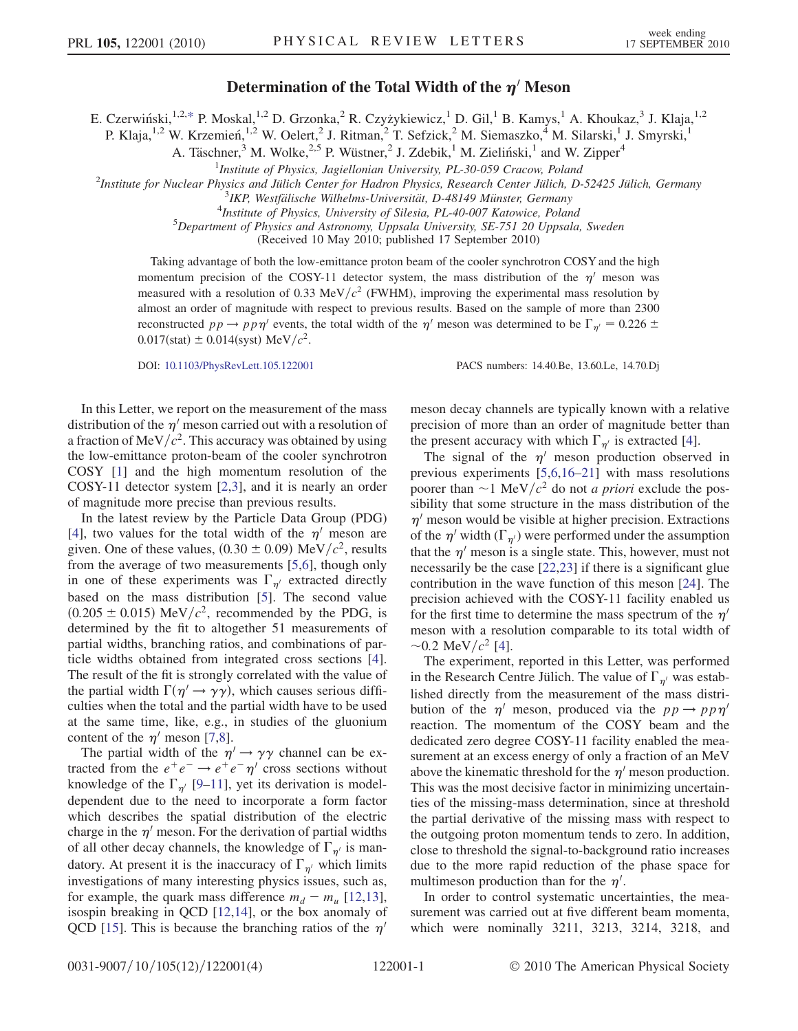## Determination of the Total Width of the  $\eta'$  Meson

<span id="page-0-0"></span>E. Czerwiński,<sup>1,2,[\\*](#page-3-0)</sup> P. Moskal,<sup>1,2</sup> D. Grzonka,<sup>2</sup> R. Czyżykiewicz,<sup>1</sup> D. Gil,<sup>1</sup> B. Kamys,<sup>1</sup> A. Khoukaz,<sup>3</sup> J. Klaja,<sup>1,2</sup>

P. Klaja,<sup>1,2</sup> W. Krzemień,<sup>1,2</sup> W. Oelert,<sup>2</sup> J. Ritman,<sup>2</sup> T. Sefzick,<sup>2</sup> M. Siemaszko,<sup>4</sup> M. Silarski,<sup>1</sup> J. Smyrski,<sup>1</sup>

A. Täschner,<sup>3</sup> M. Wolke,<sup>2,5</sup> P. Wüstner,<sup>2</sup> J. Zdebik,<sup>1</sup> M. Zieliński,<sup>1</sup> and W. Zipper<sup>4</sup>

<sup>1</sup>Institute of Physics, Jagiellonian University, PL-30-059 Cracow, Poland<br><sup>2</sup>Institute for Nuclear Physics and Jülich Center for Hadron Physics, Besearch Center Jülich, D

 $^{2}$ Institute for Nuclear Physics and Jülich Center for Hadron Physics, Research Center Jülich, D-52425 Jülich, Germany

 $3$ IKP, Westfälische Wilhelms-Universität, D-48149 Münster, Germany

<sup>4</sup>Institute of Physics, University of Silesia, PL-40-007 Katowice, Poland

 $^5$ Department of Physics and Astronomy, Uppsala University, SE-751 20 Uppsala, Sweden

(Received 10 May 2010; published 17 September 2010)

Taking advantage of both the low-emittance proton beam of the cooler synchrotron COSY and the high momentum precision of the COSY-11 detector system, the mass distribution of the  $\eta'$  meson was measured with a resolution of 0.33 MeV/ $c^2$  (FWHM), improving the experimental mass resolution by almost an order of magnitude with respect to previous results. Based on the sample of more than 2300 reconstructed  $pp \to pp\eta'$  events, the total width of the  $\eta'$  meson was determined to be  $\Gamma_{\eta'} = 0.226 \pm 0.005$  $0.017$ (stat)  $\pm 0.014$ (syst) MeV/ $c^2$ .

DOI: [10.1103/PhysRevLett.105.122001](http://dx.doi.org/10.1103/PhysRevLett.105.122001) PACS numbers: 14.40.Be, 13.60.Le, 14.70.Dj

In this Letter, we report on the measurement of the mass distribution of the  $\eta'$  meson carried out with a resolution of a fraction of MeV/ $c^2$ . This accuracy was obtained by using the low-emittance proton-beam of the cooler synchrotron COSY [\[1](#page-3-1)] and the high momentum resolution of the COSY-11 detector system [[2](#page-3-2),[3\]](#page-3-3), and it is nearly an order of magnitude more precise than previous results.

In the latest review by the Particle Data Group (PDG) [\[4\]](#page-3-4), two values for the total width of the  $\eta'$  meson are given. One of these values,  $(0.30 \pm 0.09)$  MeV/ $c^2$ , results from the average of two measurements [\[5](#page-3-5),[6](#page-3-6)], though only in one of these experiments was  $\Gamma_{n'}$  extracted directly based on the mass distribution [[5\]](#page-3-5). The second value  $(0.205 \pm 0.015)$  MeV/ $c^2$ , recommended by the PDG, is determined by the fit to altogether 51 measurements of partial widths, branching ratios, and combinations of particle widths obtained from integrated cross sections [[4\]](#page-3-4). The result of the fit is strongly correlated with the value of the partial width  $\Gamma(\eta' \to \gamma \gamma)$ , which causes serious difficulties when the total and the partial width have to be used at the same time, like, e.g., in studies of the gluonium content of the  $\eta'$  meson [\[7](#page-3-7)[,8](#page-3-8)].

The partial width of the  $\eta' \rightarrow \gamma \gamma$  channel can be extracted from the  $e^+e^- \rightarrow e^+e^- \eta'$  cross sections without knowledge of the  $\Gamma_{\eta'}$  [[9](#page-3-9)[–11\]](#page-3-10), yet its derivation is modeldependent due to the need to incorporate a form factor which describes the spatial distribution of the electric charge in the  $\eta'$  meson. For the derivation of partial widths of all other decay channels, the knowledge of  $\Gamma_{\eta'}$  is mandatory. At present it is the inaccuracy of  $\Gamma_{\eta'}$  which limits investigations of many interesting physics issues, such as, for example, the quark mass difference  $m_d - m_u$  [\[12](#page-3-11)[,13\]](#page-3-12), isospin breaking in QCD [[12](#page-3-11),[14](#page-3-13)], or the box anomaly of QCD [[15](#page-3-14)]. This is because the branching ratios of the  $\eta'$  meson decay channels are typically known with a relative precision of more than an order of magnitude better than the present accuracy with which  $\Gamma_{\eta'}$  is extracted [[4\]](#page-3-4).

The signal of the  $\eta'$  meson production observed in previous experiments [[5](#page-3-5),[6](#page-3-6),[16](#page-3-15)[–21\]](#page-3-16) with mass resolutions poorer than  $\sim$  1 MeV/ $c^2$  do not *a priori* exclude the possibility that some structure in the mass distribution of the  $\eta'$  meson would be visible at higher precision. Extractions of the  $\eta'$  width ( $\Gamma_{\eta'}$ ) were performed under the assumption that the  $\eta'$  meson is a single state. This, however, must not necessarily be the case [\[22,](#page-3-17)[23\]](#page-3-18) if there is a significant glue contribution in the wave function of this meson [[24](#page-3-19)]. The precision achieved with the COSY-11 facility enabled us for the first time to determine the mass spectrum of the  $\eta'$ meson with a resolution comparable to its total width of  $\sim$ 0.2 MeV/ $c^2$  [[4\]](#page-3-4).

The experiment, reported in this Letter, was performed in the Research Centre Jülich. The value of  $\Gamma_{n'}$  was established directly from the measurement of the mass distribution of the  $\eta'$  meson, produced via the  $pp \rightarrow pp\eta'$ reaction. The momentum of the COSY beam and the dedicated zero degree COSY-11 facility enabled the measurement at an excess energy of only a fraction of an MeV above the kinematic threshold for the  $\eta'$  meson production. This was the most decisive factor in minimizing uncertainties of the missing-mass determination, since at threshold the partial derivative of the missing mass with respect to the outgoing proton momentum tends to zero. In addition, close to threshold the signal-to-background ratio increases due to the more rapid reduction of the phase space for multimeson production than for the  $\eta'$ .

In order to control systematic uncertainties, the measurement was carried out at five different beam momenta, which were nominally 3211, 3213, 3214, 3218, and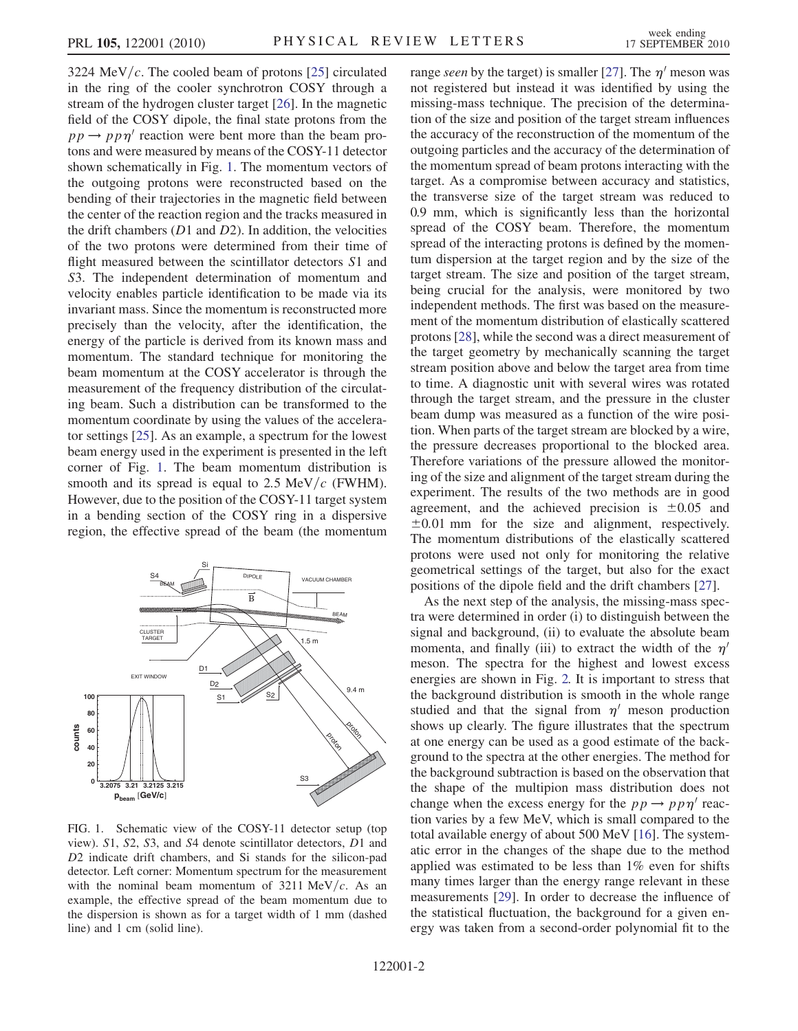3224 MeV/c. The cooled beam of protons [[25](#page-3-20)] circulated in the ring of the cooler synchrotron COSY through a stream of the hydrogen cluster target [\[26\]](#page-3-21). In the magnetic field of the COSY dipole, the final state protons from the  $pp \rightarrow pp\eta'$  reaction were bent more than the beam protons and were measured by means of the COSY-11 detector shown schematically in Fig. [1](#page-1-0). The momentum vectors of the outgoing protons were reconstructed based on the bending of their trajectories in the magnetic field between the center of the reaction region and the tracks measured in the drift chambers  $(D1 \text{ and } D2)$ . In addition, the velocities of the two protons were determined from their time of flight measured between the scintillator detectors S1 and S3. The independent determination of momentum and velocity enables particle identification to be made via its invariant mass. Since the momentum is reconstructed more precisely than the velocity, after the identification, the energy of the particle is derived from its known mass and momentum. The standard technique for monitoring the beam momentum at the COSY accelerator is through the measurement of the frequency distribution of the circulating beam. Such a distribution can be transformed to the momentum coordinate by using the values of the accelerator settings [\[25\]](#page-3-20). As an example, a spectrum for the lowest beam energy used in the experiment is presented in the left corner of Fig. [1](#page-1-0). The beam momentum distribution is smooth and its spread is equal to 2.5 MeV/ $c$  (FWHM). However, due to the position of the COSY-11 target system in a bending section of the COSY ring in a dispersive region, the effective spread of the beam (the momentum

<span id="page-1-0"></span>

FIG. 1. Schematic view of the COSY-11 detector setup (top view). S1, S2, S3, and S4 denote scintillator detectors, D1 and D2 indicate drift chambers, and Si stands for the silicon-pad detector. Left corner: Momentum spectrum for the measurement with the nominal beam momentum of  $3211 \text{ MeV}/c$ . As an example, the effective spread of the beam momentum due to the dispersion is shown as for a target width of 1 mm (dashed line) and 1 cm (solid line).

range seen by the target) is smaller [[27](#page-3-22)]. The  $\eta'$  meson was not registered but instead it was identified by using the missing-mass technique. The precision of the determination of the size and position of the target stream influences the accuracy of the reconstruction of the momentum of the outgoing particles and the accuracy of the determination of the momentum spread of beam protons interacting with the target. As a compromise between accuracy and statistics, the transverse size of the target stream was reduced to 0.9 mm, which is significantly less than the horizontal spread of the COSY beam. Therefore, the momentum spread of the interacting protons is defined by the momentum dispersion at the target region and by the size of the target stream. The size and position of the target stream, being crucial for the analysis, were monitored by two independent methods. The first was based on the measurement of the momentum distribution of elastically scattered protons [[28](#page-3-23)], while the second was a direct measurement of the target geometry by mechanically scanning the target stream position above and below the target area from time to time. A diagnostic unit with several wires was rotated through the target stream, and the pressure in the cluster beam dump was measured as a function of the wire position. When parts of the target stream are blocked by a wire, the pressure decreases proportional to the blocked area. Therefore variations of the pressure allowed the monitoring of the size and alignment of the target stream during the experiment. The results of the two methods are in good agreement, and the achieved precision is  $\pm 0.05$  and  $\pm 0.01$  mm for the size and alignment, respectively. The momentum distributions of the elastically scattered protons were used not only for monitoring the relative geometrical settings of the target, but also for the exact positions of the dipole field and the drift chambers [\[27\]](#page-3-22).

As the next step of the analysis, the missing-mass spectra were determined in order (i) to distinguish between the signal and background, (ii) to evaluate the absolute beam momenta, and finally (iii) to extract the width of the  $\eta'$ meson. The spectra for the highest and lowest excess energies are shown in Fig. [2.](#page-2-0) It is important to stress that the background distribution is smooth in the whole range studied and that the signal from  $\eta'$  meson production shows up clearly. The figure illustrates that the spectrum at one energy can be used as a good estimate of the background to the spectra at the other energies. The method for the background subtraction is based on the observation that the shape of the multipion mass distribution does not change when the excess energy for the  $pp \rightarrow pp\eta'$  reaction varies by a few MeV, which is small compared to the total available energy of about 500 MeV [[16](#page-3-15)]. The systematic error in the changes of the shape due to the method applied was estimated to be less than 1% even for shifts many times larger than the energy range relevant in these measurements [\[29\]](#page-3-24). In order to decrease the influence of the statistical fluctuation, the background for a given energy was taken from a second-order polynomial fit to the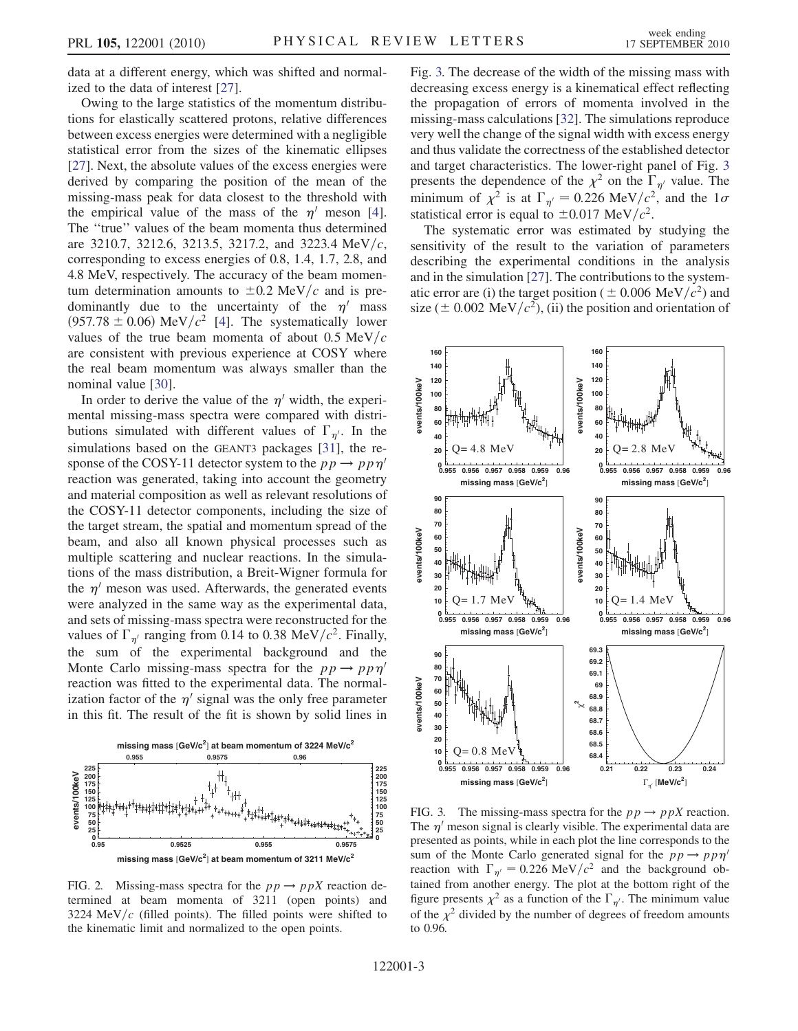data at a different energy, which was shifted and normalized to the data of interest [\[27\]](#page-3-22).

Owing to the large statistics of the momentum distributions for elastically scattered protons, relative differences between excess energies were determined with a negligible statistical error from the sizes of the kinematic ellipses [\[27\]](#page-3-22). Next, the absolute values of the excess energies were derived by comparing the position of the mean of the missing-mass peak for data closest to the threshold with the empirical value of the mass of the  $\eta'$  meson [[4\]](#page-3-4). The ''true'' values of the beam momenta thus determined are 3210.7, 3212.6, 3213.5, 3217.2, and 3223.4 MeV/c, corresponding to excess energies of 0.8, 1.4, 1.7, 2.8, and 4.8 MeV, respectively. The accuracy of the beam momentum determination amounts to  $\pm 0.2$  MeV/c and is predominantly due to the uncertainty of the  $\eta'$  mass  $(957.78 \pm 0.06)$  MeV/ $c^2$  [\[4](#page-3-4)]. The systematically lower values of the true beam momenta of about  $0.5 \text{ MeV}/c$ are consistent with previous experience at COSY where the real beam momentum was always smaller than the nominal value [\[30\]](#page-3-25).

In order to derive the value of the  $\eta'$  width, the experimental missing-mass spectra were compared with distributions simulated with different values of  $\Gamma_{n'}$ . In the simulations based on the GEANT3 packages [\[31\]](#page-3-26), the response of the COSY-11 detector system to the  $pp \rightarrow pp\eta'$ reaction was generated, taking into account the geometry and material composition as well as relevant resolutions of the COSY-11 detector components, including the size of the target stream, the spatial and momentum spread of the beam, and also all known physical processes such as multiple scattering and nuclear reactions. In the simulations of the mass distribution, a Breit-Wigner formula for the  $\eta'$  meson was used. Afterwards, the generated events were analyzed in the same way as the experimental data, and sets of missing-mass spectra were reconstructed for the values of  $\Gamma_{\eta'}$  ranging from 0.14 to 0.38 MeV/ $c^2$ . Finally, the sum of the experimental background and the Monte Carlo missing-mass spectra for the  $pp \rightarrow pp\eta'$ reaction was fitted to the experimental data. The normalization factor of the  $\eta'$  signal was the only free parameter in this fit. The result of the fit is shown by solid lines in

<span id="page-2-0"></span>

FIG. 2. Missing-mass spectra for the  $pp \rightarrow ppX$  reaction determined at beam momenta of 3211 (open points) and 3224 MeV/ $c$  (filled points). The filled points were shifted to the kinematic limit and normalized to the open points.

Fig. [3.](#page-2-1) The decrease of the width of the missing mass with decreasing excess energy is a kinematical effect reflecting the propagation of errors of momenta involved in the missing-mass calculations [\[32\]](#page-3-27). The simulations reproduce very well the change of the signal width with excess energy and thus validate the correctness of the established detector and target characteristics. The lower-right panel of Fig. [3](#page-2-1) presents the dependence of the  $\chi^2$  on the  $\Gamma_{n'}$  value. The minimum of  $\chi^2$  is at  $\Gamma_{\eta'} = 0.226 \text{ MeV}/c^2$ , and the  $1\sigma$ statistical error is equal to  $\pm 0.017$  MeV/ $c^2$ .

The systematic error was estimated by studying the sensitivity of the result to the variation of parameters describing the experimental conditions in the analysis and in the simulation [[27\]](#page-3-22). The contributions to the systematic error are (i) the target position ( $\pm$  0.006 MeV/ $c^2$ ) and size ( $\pm$  0.002 MeV/ $c^2$ ), (ii) the position and orientation of

<span id="page-2-1"></span>

FIG. 3. The missing-mass spectra for the  $pp \rightarrow ppX$  reaction. The  $\eta'$  meson signal is clearly visible. The experimental data are presented as points, while in each plot the line corresponds to the sum of the Monte Carlo generated signal for the  $pp \rightarrow pp\eta'$ reaction with  $\Gamma_{n'}=0.226 \text{ MeV}/c^2$  and the background obtained from another energy. The plot at the bottom right of the figure presents  $\chi^2$  as a function of the  $\Gamma_{\eta'}$ . The minimum value of the  $\chi^2$  divided by the number of degrees of freedom amounts to 0.96.